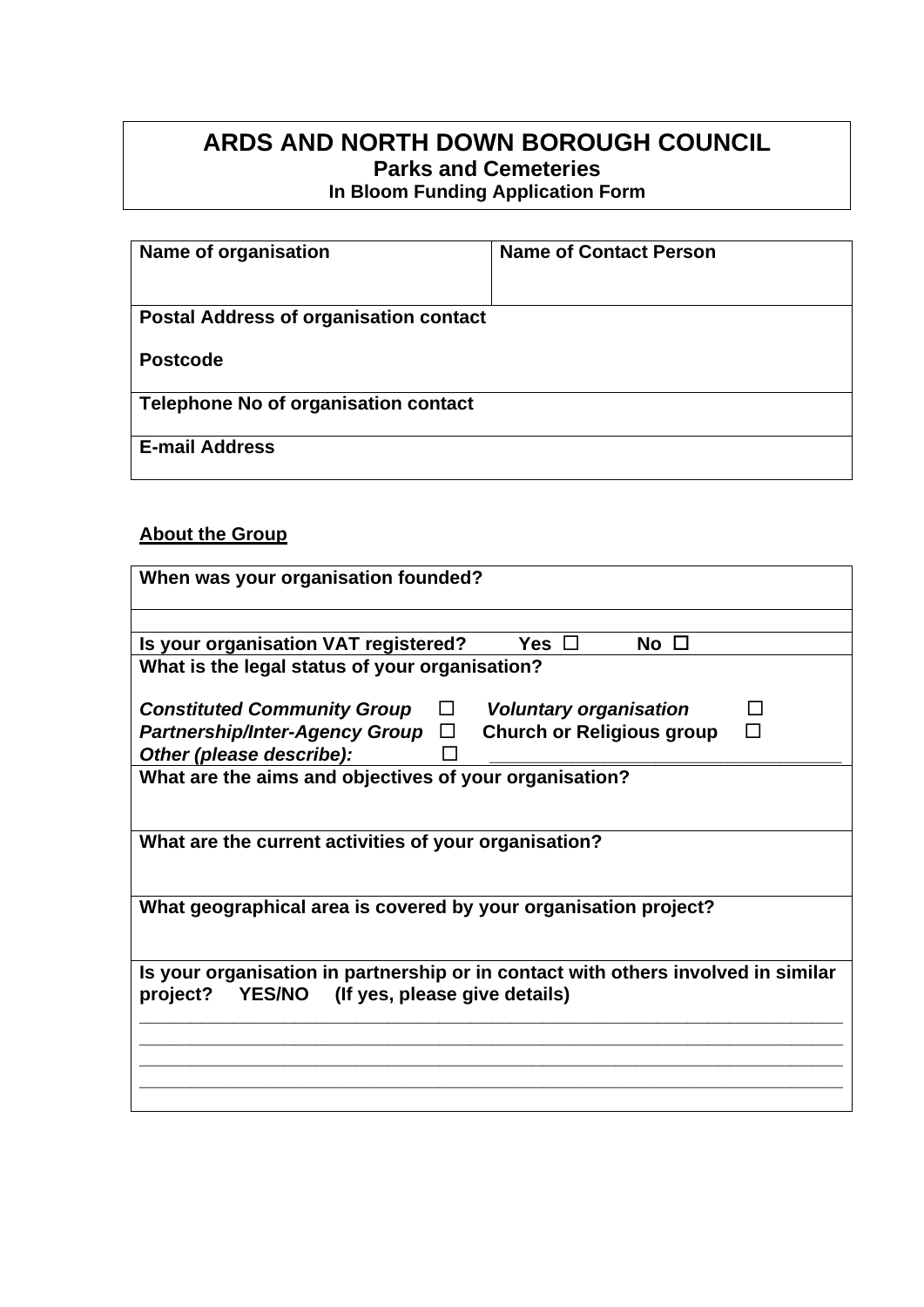## **ARDS AND NORTH DOWN BOROUGH COUNCIL Parks and Cemeteries In Bloom Funding Application Form**

| Name of organisation                          | <b>Name of Contact Person</b> |
|-----------------------------------------------|-------------------------------|
| <b>Postal Address of organisation contact</b> |                               |
| <b>Postcode</b>                               |                               |
| <b>Telephone No of organisation contact</b>   |                               |
| <b>E-mail Address</b>                         |                               |

### **About the Group**

| When was your organisation founded?                                                                                                   |  |  |  |  |  |  |  |  |  |
|---------------------------------------------------------------------------------------------------------------------------------------|--|--|--|--|--|--|--|--|--|
|                                                                                                                                       |  |  |  |  |  |  |  |  |  |
| Is your organisation VAT registered?<br>No $\Box$<br>Yes $\square$                                                                    |  |  |  |  |  |  |  |  |  |
| What is the legal status of your organisation?                                                                                        |  |  |  |  |  |  |  |  |  |
| <b>Voluntary organisation</b><br><b>Constituted Community Group</b><br>□                                                              |  |  |  |  |  |  |  |  |  |
| <b>Church or Religious group</b><br><b>Partnership/Inter-Agency Group</b><br>$\Box$                                                   |  |  |  |  |  |  |  |  |  |
| Other (please describe):                                                                                                              |  |  |  |  |  |  |  |  |  |
| What are the aims and objectives of your organisation?                                                                                |  |  |  |  |  |  |  |  |  |
|                                                                                                                                       |  |  |  |  |  |  |  |  |  |
| What are the current activities of your organisation?                                                                                 |  |  |  |  |  |  |  |  |  |
| What geographical area is covered by your organisation project?                                                                       |  |  |  |  |  |  |  |  |  |
| Is your organisation in partnership or in contact with others involved in similar<br>YES/NO (If yes, please give details)<br>project? |  |  |  |  |  |  |  |  |  |
|                                                                                                                                       |  |  |  |  |  |  |  |  |  |
|                                                                                                                                       |  |  |  |  |  |  |  |  |  |
|                                                                                                                                       |  |  |  |  |  |  |  |  |  |
|                                                                                                                                       |  |  |  |  |  |  |  |  |  |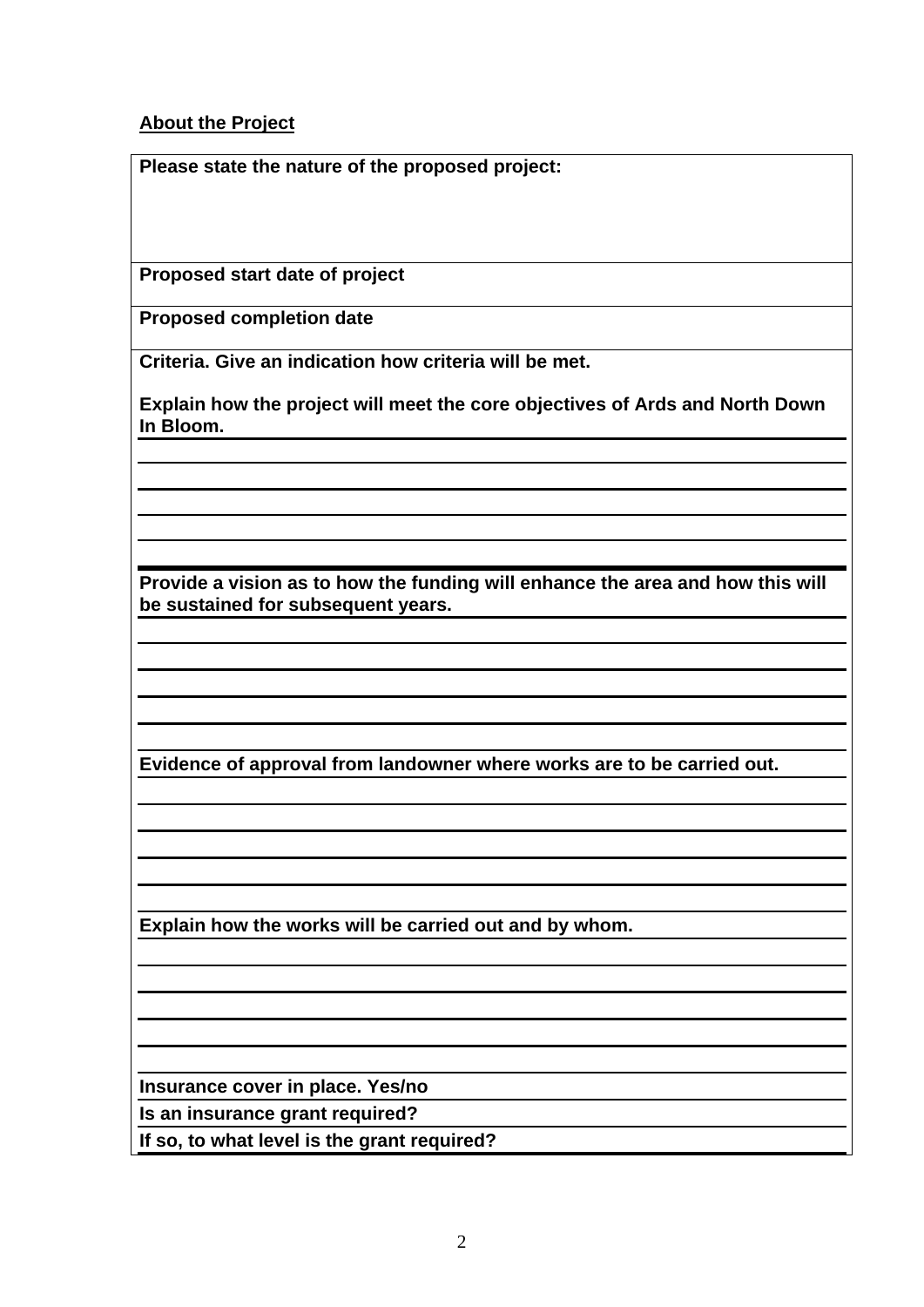#### **About the Project**

**Please state the nature of the proposed project:**

**Proposed start date of project**

**Proposed completion date**

**Criteria. Give an indication how criteria will be met.**

**Explain how the project will meet the core objectives of Ards and North Down In Bloom.**

**Provide a vision as to how the funding will enhance the area and how this will be sustained for subsequent years.** 

**Evidence of approval from landowner where works are to be carried out.** 

**Explain how the works will be carried out and by whom.** 

**Insurance cover in place. Yes/no**

**Is an insurance grant required?**

**If so, to what level is the grant required?**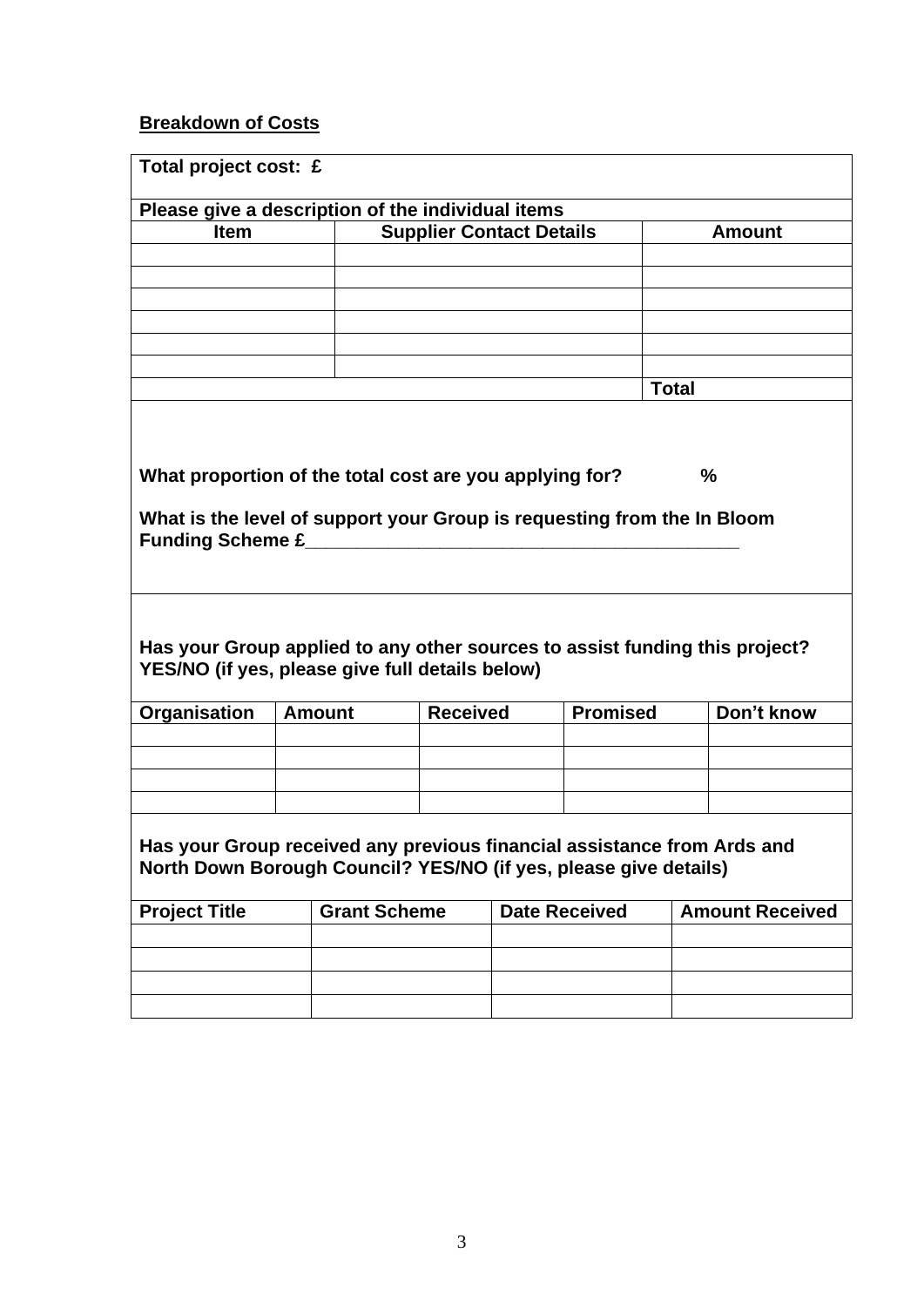# **Breakdown of Costs**

| Total project cost: £                                                                                                                       |                                 |                     |                 |                      |                 |              |                        |  |  |  |
|---------------------------------------------------------------------------------------------------------------------------------------------|---------------------------------|---------------------|-----------------|----------------------|-----------------|--------------|------------------------|--|--|--|
| Please give a description of the individual items                                                                                           |                                 |                     |                 |                      |                 |              |                        |  |  |  |
| <b>Item</b>                                                                                                                                 | <b>Supplier Contact Details</b> |                     |                 |                      | <b>Amount</b>   |              |                        |  |  |  |
|                                                                                                                                             |                                 |                     |                 |                      |                 |              |                        |  |  |  |
|                                                                                                                                             |                                 |                     |                 |                      |                 |              |                        |  |  |  |
|                                                                                                                                             |                                 |                     |                 |                      |                 |              |                        |  |  |  |
|                                                                                                                                             |                                 |                     |                 |                      |                 |              |                        |  |  |  |
|                                                                                                                                             |                                 |                     |                 |                      |                 |              |                        |  |  |  |
|                                                                                                                                             |                                 |                     |                 |                      |                 | <b>Total</b> |                        |  |  |  |
|                                                                                                                                             |                                 |                     |                 |                      |                 |              |                        |  |  |  |
|                                                                                                                                             |                                 |                     |                 |                      |                 |              |                        |  |  |  |
|                                                                                                                                             |                                 |                     |                 |                      |                 |              |                        |  |  |  |
| What proportion of the total cost are you applying for?<br>$\frac{0}{0}$                                                                    |                                 |                     |                 |                      |                 |              |                        |  |  |  |
|                                                                                                                                             |                                 |                     |                 |                      |                 |              |                        |  |  |  |
| What is the level of support your Group is requesting from the In Bloom                                                                     |                                 |                     |                 |                      |                 |              |                        |  |  |  |
|                                                                                                                                             |                                 |                     |                 |                      |                 |              |                        |  |  |  |
|                                                                                                                                             |                                 |                     |                 |                      |                 |              |                        |  |  |  |
|                                                                                                                                             |                                 |                     |                 |                      |                 |              |                        |  |  |  |
|                                                                                                                                             |                                 |                     |                 |                      |                 |              |                        |  |  |  |
| Has your Group applied to any other sources to assist funding this project?                                                                 |                                 |                     |                 |                      |                 |              |                        |  |  |  |
| YES/NO (if yes, please give full details below)                                                                                             |                                 |                     |                 |                      |                 |              |                        |  |  |  |
|                                                                                                                                             |                                 |                     |                 |                      |                 |              |                        |  |  |  |
| Organisation                                                                                                                                | <b>Amount</b>                   |                     | <b>Received</b> |                      | <b>Promised</b> |              | Don't know             |  |  |  |
|                                                                                                                                             |                                 |                     |                 |                      |                 |              |                        |  |  |  |
|                                                                                                                                             |                                 |                     |                 |                      |                 |              |                        |  |  |  |
|                                                                                                                                             |                                 |                     |                 |                      |                 |              |                        |  |  |  |
|                                                                                                                                             |                                 |                     |                 |                      |                 |              |                        |  |  |  |
|                                                                                                                                             |                                 |                     |                 |                      |                 |              |                        |  |  |  |
| Has your Group received any previous financial assistance from Ards and<br>North Down Borough Council? YES/NO (if yes, please give details) |                                 |                     |                 |                      |                 |              |                        |  |  |  |
|                                                                                                                                             |                                 |                     |                 |                      |                 |              |                        |  |  |  |
| <b>Project Title</b>                                                                                                                        |                                 | <b>Grant Scheme</b> |                 | <b>Date Received</b> |                 |              | <b>Amount Received</b> |  |  |  |
|                                                                                                                                             |                                 |                     |                 |                      |                 |              |                        |  |  |  |
|                                                                                                                                             |                                 |                     |                 |                      |                 |              |                        |  |  |  |
|                                                                                                                                             |                                 |                     |                 |                      |                 |              |                        |  |  |  |
|                                                                                                                                             |                                 |                     |                 |                      |                 |              |                        |  |  |  |